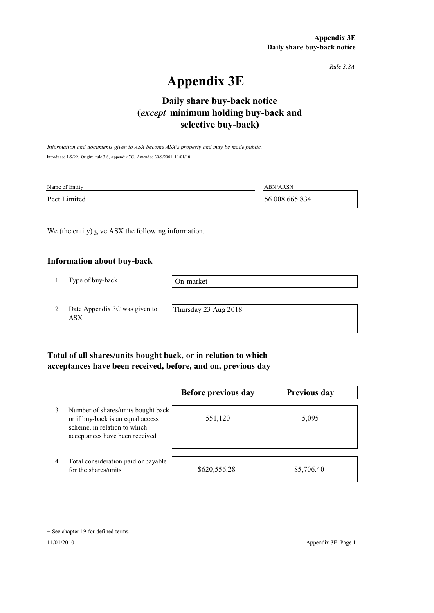*Rule 3.8A*

# **Appendix 3E**

# **selective buy-back) Daily share buy-back notice (***except* **minimum holding buy-back and**

*Information and documents given to ASX become ASX's property and may be made public.* Introduced 1/9/99. Origin: rule 3.6, Appendix 7C. Amended 30/9/2001, 11/01/10

| Name of Entity | ABN/ARSN       |
|----------------|----------------|
| Peet Limited   | 56 008 665 834 |

We (the entity) give ASX the following information.

#### **Information about buy-back**

1 Type of buy-back

On-market

2 Date Appendix 3C was given to ASX

Thursday 23 Aug 2018

### **Total of all shares/units bought back, or in relation to which acceptances have been received, before, and on, previous day**

|   |                                                                                                                                           | Before previous day | <b>Previous day</b> |
|---|-------------------------------------------------------------------------------------------------------------------------------------------|---------------------|---------------------|
| 3 | Number of shares/units bought back<br>or if buy-back is an equal access<br>scheme, in relation to which<br>acceptances have been received | 551,120             | 5,095               |
| 4 | Total consideration paid or payable<br>for the shares/units                                                                               | \$620,556.28        | \$5,706.40          |

<sup>+</sup> See chapter 19 for defined terms.